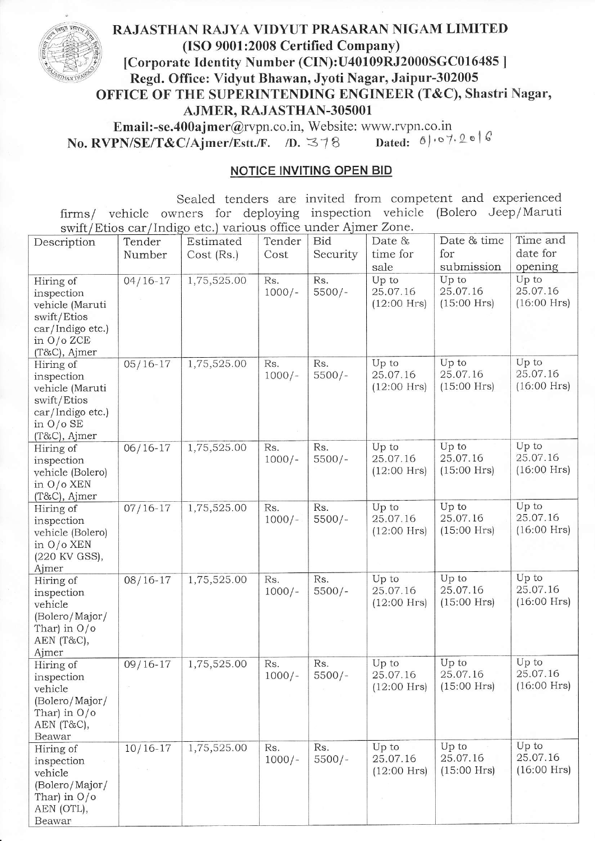## OFFICE OF THE SUPERINTENDING ENGINEER (T&C), Shastri Nagar, AJMER, RAJASTHAN-3OsOOI RAJASTHAN RAJYA VIDYUT PRASARAN NIGAM LIMITED (ISO 9001:2008 Certified Company) [Corporate Identity Number (CIN):U40109RJ2000SGC016485 ] Regd. Office: Vidyut Bhawan, Jyoti Nagar, Jaipur-302005

**Email:-se.400ajmer@rvpn.co.in, Website: www.rvpn.co.in**<br>**PN/SE/T&C/Ajmer/Estt./F.** *n.*  $\leq \frac{1}{8}$  *nated.*  $\theta$ / $\circ$ 7.2016 No. RVPN/SE/T&C/Ajmer/Estt./F. /D.  $378$ 

## NOTICE INVITING OPEN BID

Sealed tenders are invited from competent and experienced firms/ vehicle owners for deploying inspection vehicle (Bolero Jeep/Maruti swift/Etios car/Indigo etc.) various office under Aimer Zone.

| Description                                                                                                   | Tender<br>Number | Estimated<br>Cost (Rs.) | Tender<br>Cost  | Bid<br>Security | Date &<br>time for                 | Date & time<br>for                 | Time and<br>date for               |
|---------------------------------------------------------------------------------------------------------------|------------------|-------------------------|-----------------|-----------------|------------------------------------|------------------------------------|------------------------------------|
|                                                                                                               |                  |                         |                 |                 | sale                               | submission                         | opening                            |
| Hiring of<br>inspection<br>vehicle (Maruti<br>swift/Etios<br>car/Indigo etc.)<br>in $O/O$ ZCE<br>(T&C), Ajmer | $04/16 - 17$     | 1,75,525.00             | Rs.<br>$1000/-$ | Rs.<br>$5500/-$ | Up to<br>25.07.16<br>$(12:00$ Hrs) | Up to<br>25.07.16<br>$(15:00$ Hrs) | Up to<br>25.07.16<br>$(16:00$ Hrs) |
| Hiring of<br>inspection<br>vehicle (Maruti<br>swift/Etios<br>car/Indigo etc.)<br>in $O/O$ SE<br>(T&C), Ajmer  | $05/16-17$       | 1,75,525.00             | Rs.<br>$1000/-$ | Rs.<br>$5500/-$ | Up to<br>25.07.16<br>$(12:00$ Hrs) | Up to<br>25.07.16<br>$(15:00$ Hrs) | Up to<br>25.07.16<br>$(16:00$ Hrs) |
| Hiring of<br>inspection<br>vehicle (Bolero)<br>in $O/O$ XEN<br>(T&C), Ajmer                                   | $06/16 - 17$     | 1,75,525.00             | Rs.<br>$1000/-$ | Rs.<br>$5500/-$ | Up to<br>25.07.16<br>$(12:00$ Hrs) | Up to<br>25.07.16<br>$(15:00$ Hrs) | Up to<br>25.07.16<br>$(16:00$ Hrs) |
| Hiring of<br>inspection<br>vehicle (Bolero)<br>in O/o XEN<br>(220 KV GSS),<br>Ajmer                           | $07/16 - 17$     | 1,75,525.00             | Rs.<br>$1000/-$ | Rs.<br>$5500/-$ | Up to<br>25.07.16<br>$(12:00$ Hrs) | Up to<br>25.07.16<br>$(15:00$ Hrs) | Up to<br>25.07.16<br>$(16:00$ Hrs) |
| Hiring of<br>inspection<br>vehicle<br>(Bolero/Major/<br>Thar) in $O/O$<br>AEN (T&C),<br>Ajmer                 | $08/16-17$       | 1,75,525.00             | Rs.<br>$1000/-$ | Rs.<br>$5500/-$ | Up to<br>25.07.16<br>$(12:00$ Hrs) | Up to<br>25.07.16<br>$(15:00$ Hrs) | Up to<br>25.07.16<br>$(16:00$ Hrs) |
| Hiring of<br>inspection<br>vehicle<br>(Bolero/Major/<br>Thar) in $O/O$<br>AEN (T&C),<br>Beawar                | $09/16 - 17$     | 1,75,525.00             | Rs.<br>$1000/-$ | Rs.<br>$5500/-$ | Up to<br>25.07.16<br>$(12:00$ Hrs) | Up to<br>25.07.16<br>$(15:00$ Hrs) | Up to<br>25.07.16<br>$(16:00$ Hrs) |
| Hiring of<br>inspection<br>vehicle<br>(Bolero/Major/<br>Thar) in $O/O$<br>AEN (OTL),<br>Beawar                | $10/16 - 17$     | 1,75,525.00             | Rs.<br>$1000/-$ | Rs.<br>$5500/-$ | Up to<br>25.07.16<br>$(12:00$ Hrs) | Up to<br>25.07.16<br>$(15:00$ Hrs) | Up to<br>25.07.16<br>$(16:00$ Hrs) |